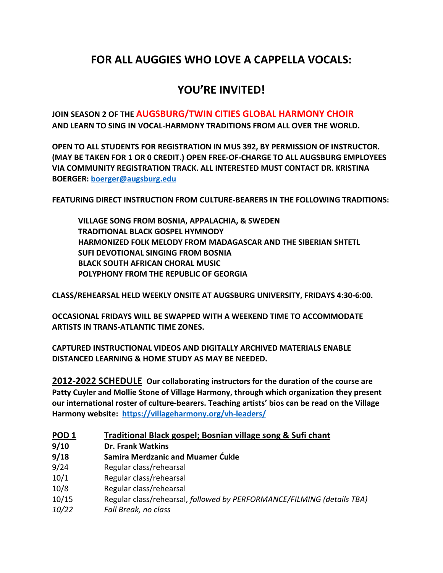# **FOR ALL AUGGIES WHO LOVE A CAPPELLA VOCALS:**

# **YOU'RE INVITED!**

**JOIN SEASON 2 OF THE AUGSBURG/TWIN CITIES GLOBAL HARMONY CHOIR AND LEARN TO SING IN VOCAL-HARMONY TRADITIONS FROM ALL OVER THE WORLD.**

**OPEN TO ALL STUDENTS FOR REGISTRATION IN MUS 392, BY PERMISSION OF INSTRUCTOR. (MAY BE TAKEN FOR 1 OR 0 CREDIT.) OPEN FREE-OF-CHARGE TO ALL AUGSBURG EMPLOYEES VIA COMMUNITY REGISTRATION TRACK. ALL INTERESTED MUST CONTACT DR. KRISTINA BOERGER: boerger@augsburg.edu**

**FEATURING DIRECT INSTRUCTION FROM CULTURE-BEARERS IN THE FOLLOWING TRADITIONS:**

**VILLAGE SONG FROM BOSNIA, APPALACHIA, & SWEDEN TRADITIONAL BLACK GOSPEL HYMNODY HARMONIZED FOLK MELODY FROM MADAGASCAR AND THE SIBERIAN SHTETL SUFI DEVOTIONAL SINGING FROM BOSNIA BLACK SOUTH AFRICAN CHORAL MUSIC POLYPHONY FROM THE REPUBLIC OF GEORGIA**

**CLASS/REHEARSAL HELD WEEKLY ONSITE AT AUGSBURG UNIVERSITY, FRIDAYS 4:30-6:00.**

**OCCASIONAL FRIDAYS WILL BE SWAPPED WITH A WEEKEND TIME TO ACCOMMODATE ARTISTS IN TRANS-ATLANTIC TIME ZONES.** 

#### **CAPTURED INSTRUCTIONAL VIDEOS AND DIGITALLY ARCHIVED MATERIALS ENABLE DISTANCED LEARNING & HOME STUDY AS MAY BE NEEDED.**

**2012-2022 SCHEDULE Our collaborating instructors for the duration of the course are Patty Cuyler and Mollie Stone of Village Harmony, through which organization they present our international roster of culture-bearers. Teaching artists' bios can be read on the Village Harmony website: https://villageharmony.org/vh-leaders/**

| POD <sub>1</sub> | Traditional Black gospel; Bosnian village song & Sufi chant            |
|------------------|------------------------------------------------------------------------|
| 9/10             | <b>Dr. Frank Watkins</b>                                               |
| 9/18             | Samira Merdzanic and Muamer Cukle                                      |
| 9/24             | Regular class/rehearsal                                                |
| 10/1             | Regular class/rehearsal                                                |
| 10/8             | Regular class/rehearsal                                                |
| 10/15            | Regular class/rehearsal, followed by PERFORMANCE/FILMING (details TBA) |
| 10/22            | Fall Break, no class                                                   |